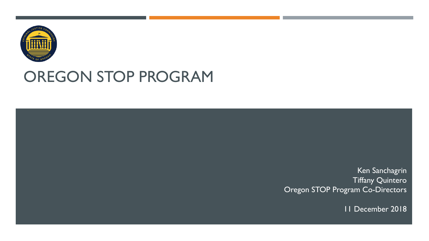

## OREGON STOP PROGRAM

Ken Sanchagrin Tiffany Quintero Oregon STOP Program Co-Directors 11 December 2018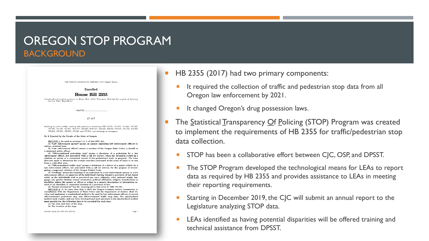### OREGON STOP PROGRAM BACKGROUND

79th OREGON LEGISLATIVE ASSEMBLY-2017 Regular Session

### Enrolled

### House Bill 2355

Introduced and printed pursuant to House Rule 12.00. Presession filed (at the request of Attorney<br>General Ellen Rosenblum)

AN ACT

Relating to public safety; creating new provisions; amending ORS 51.050, 131.915, 131.920, 131.925. 137.633, 161.670, 161.616, 181A.410, 221.339, 419(1601, 423.478, 423.525, 475.006, 476.752, 476.824, 475.834, 475.854, 475.874, 475.884 and 475.894; and declaring an emergency.

### Be It Enacted by the People of the State of Oregon

SECTION 1, As used in sections 1 to 4 of this 2017 Act:

 $\overline{(1)}$  "Law enforcement agency" means an agency employing law enforcement officers to enforce criminal laws.  $(2)$  "Law enforcement officer" means a member of the Oregon State Police, a sheriff or

a municipal police officer. (3) "Officer-initiated pedestrian stop" means a detention of a pedestrian by a law

enforcement officer, not associated with a call for service, when the detention results in a citation, an arrest or a consensual search of the pedestrian's body or property. The term does not apply to detentions for routine searches performed at the point of entry to or exit from a controlled area.

(4) "Officer-initiated traffic stop" means a detention of a driver of a motor vehicle by a law enforcement officer, not associated with a call for service, for the purpose of investigating a suspected violation of the Oregon Vehicle Code.

(5) "Profiling" means the targeting of an individual by a law enforcement agency or a lay enforcement officer, on suspicion of the individual's having violated a provision of law, based solely on the individual's real or perceived age race, ethnicity, color, national origin. language, sex, gender identity, sexual orientation, political affiliation, religion, homelessness or disability, unless the agency or officer is acting on a suspect description or information related to an identified or suspected violation of a provision of law.

(6) "Sexual orientation" has the meaning given that term in ORS 174.100. SECTION 2. (1) No later than July 1, 2018, the Oregon Criminal Justice Commission, in consultation with the Department of State Police and the Department of Justice, shall develop and implement a standardized method to be used by law enforcement officers to record officer-initiated pedestrian stop and officer-initiated traffic stop data. The standardized method must require, and any form developed and used pursuant to the standardized method must provide for, the following data to be recorded for each stop: (a) The date and time of the stop;

(b) The location of the stop:

Kneelled House Bill 2855 (HB 2855-B

Page

- HB 2355 (2017) had two primary components:
	- It required the collection of traffic and pedestrian stop data from all Oregon law enforcement by 2021.
- **If changed Oregon's drug possession laws.**
- The Statistical Transparency Of Policing (STOP) Program was created to implement the requirements of HB 2355 for traffic/pedestrian stop data collection.
	- STOP has been a collaborative effort between CJC, OSP, and DPSST.
	- The STOP Program developed the technological means for LEAs to report data as required by HB 2355 and provides assistance to LEAs in meeting their reporting requirements.
	- Starting in December 2019, the CJC will submit an annual report to the Legislature analyzing STOP data.
	- LEAs identified as having potential disparities will be offered training and technical assistance from DPSST.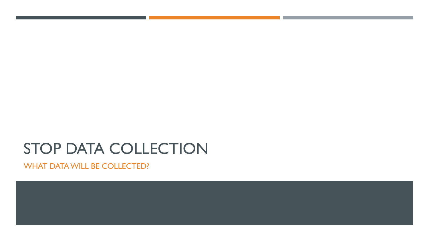# STOP DATA COLLECTION

WHAT DATA WILL BE COLLECTED?

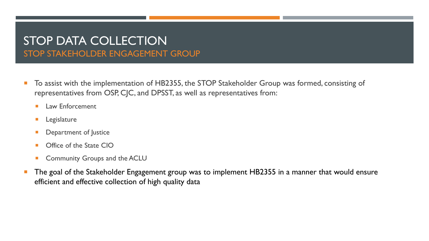## STOP DATA COLLECTION STOP STAKEHOLDER ENGAGEMENT GROUP

- To assist with the implementation of HB2355, the STOP Stakeholder Group was formed, consisting of representatives from OSP, CJC, and DPSST, as well as representatives from:
	- **Law Enforcement**
	- **Legislature**
	- Department of Justice
	- **Office of the State CIO**
	- Community Groups and the ACLU
- The goal of the Stakeholder Engagement group was to implement HB2355 in a manner that would ensure efficient and effective collection of high quality data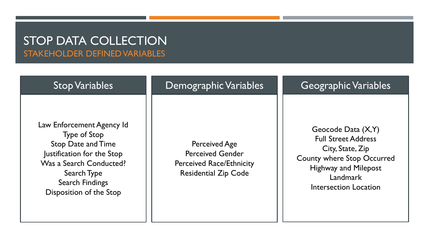### STOP DATA COLLECTION STAKEHOLDER DEFINED VARIABLES

| <b>Stop Variables</b>                                                                                                                                                                                      | Demographic Variables                                                                                             | <b>Geographic Variables</b>                                                                                                                                                      |
|------------------------------------------------------------------------------------------------------------------------------------------------------------------------------------------------------------|-------------------------------------------------------------------------------------------------------------------|----------------------------------------------------------------------------------------------------------------------------------------------------------------------------------|
| Law Enforcement Agency Id<br><b>Type of Stop</b><br><b>Stop Date and Time</b><br>Justification for the Stop<br>Was a Search Conducted?<br>Search Type<br><b>Search Findings</b><br>Disposition of the Stop | <b>Perceived Age</b><br><b>Perceived Gender</b><br><b>Perceived Race/Ethnicity</b><br><b>Residential Zip Code</b> | Geocode Data $(X, Y)$<br><b>Full Street Address</b><br>City, State, Zip<br><b>County where Stop Occurred</b><br><b>Highway and Milepost</b><br>Landmark<br>Intersection Location |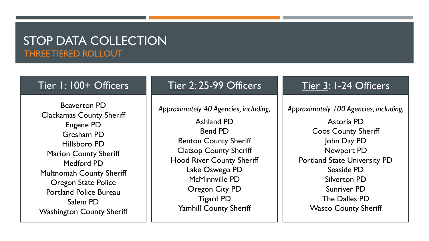### STOP DATA COLLECTION THREE TIERED ROLLOUT

Beaverton PD Clackamas County Sheriff Eugene PD Gresham PD Hillsboro PD Marion County Sheriff Medford PD Multnomah County Sheriff Oregon State Police Portland Police Bureau Salem PD Washington County Sheriff

### Tier 1: 100+ Officers Tier 2: 25-99 Officers Tier 3: 1-24 Officers

*Approximately 40 Agencies, including,*

Ashland PD Bend PD Benton County Sheriff Clatsop County Sheriff Hood River County Sheriff Lake Oswego PD McMinnville PD Oregon City PD Tigard PD Yamhill County Sheriff

*Approximately 100 Agencies, including,*

Astoria PD Coos County Sheriff John Day PD Newport PD Portland State University PD Seaside PD Silverton PD Sunriver PD The Dalles PD Wasco County Sheriff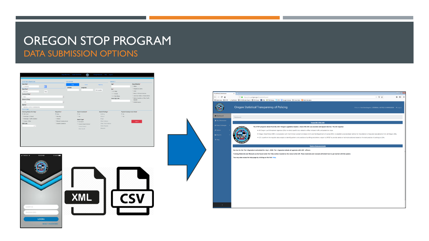### OREGON STOP PROGRAM DATA SUBMISSION OPTIONS

| <b>Stop Date*</b>                                  |              |                           |                       |                      | Age*                 | Race/Ethnicity*                              |
|----------------------------------------------------|--------------|---------------------------|-----------------------|----------------------|----------------------|----------------------------------------------|
| 11/30/2018                                         | 画            | Map                       | Street                | <b>Highway</b>       |                      | O White                                      |
| <b>Stop Time*</b>                                  |              | Latitude                  | Longitude             |                      | Sex*                 | C. Hispanic or Latino                        |
| 09:46 AM                                           | Now          |                           |                       | Get Location         | O.M. Male            | O Asian                                      |
| County of Stop*                                    |              |                           |                       |                      | O.F - Female         | C Black or African American                  |
| Baker                                              |              | $\overline{\cdot}$        |                       |                      | O.X - Non-Binary     | C. American Indian or Alaska Native          |
| <b>Nature of Stop*</b>                             |              |                           |                       |                      | <b>Home Zip Code</b> | Native Hawaiian or Other Pacific<br>Islander |
| Traffic                                            |              | $\overline{\cdot}$        |                       |                      |                      | O Middle Eastern                             |
|                                                    |              |                           |                       |                      |                      |                                              |
| Agency <sup>*</sup><br>CRIMINAL JUSTICE COMMISSION |              |                           |                       |                      |                      |                                              |
| <b>OUTCOME</b>                                     |              |                           |                       |                      |                      |                                              |
| <b>Statutory Reason for Stop*</b>                  | Disposition* |                           | Search Conducted*     | Search Findings*     |                      | <b>Physical Custody Arrest Made*</b>         |
| # ORS Code                                         | # None       |                           | * No.                 | Nothing              | 8.86                 |                                              |
| Municipal-Criminal                                 | O Warning    |                           | O Yes                 | Alcohol              | O Yes                |                                              |
| O Municipal-Traffic Violation                      | C Citation   |                           | Search Type*          | Drugs                |                      |                                              |
| C County-Other                                     |              | Physical Custody Arrest   | <b>Z</b> No Search    | Other Dridence       |                      | Submit                                       |
| <b>ORS</b> Code                                    |              | <b>C</b> Juvenile Summons | Consent Search Denied | Other / Not-Evidence |                      |                                              |
| $n +$                                              |              |                           | Consent Search        | Stolen Property      |                      |                                              |
|                                                    |              |                           | Other Search          | Weapons              |                      |                                              |



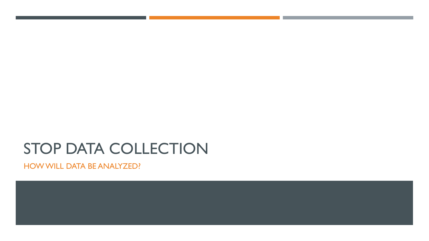# STOP DATA COLLECTION

HOW WILL DATA BE ANALYZED?

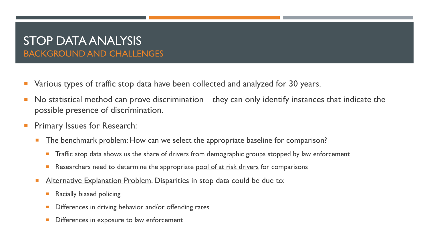## STOP DATA ANALYSIS BACKGROUND AND CHALLENGES

- Various types of traffic stop data have been collected and analyzed for 30 years.
- No statistical method can prove discrimination—they can only identify instances that indicate the possible presence of discrimination.
- Primary Issues for Research:
	- **The benchmark problem:** How can we select the appropriate baseline for comparison?
		- Traffic stop data shows us the share of drivers from demographic groups stopped by law enforcement
		- Researchers need to determine the appropriate pool of at risk drivers for comparisons
	- Alternative Explanation Problem. Disparities in stop data could be due to:
		- Racially biased policing
		- Differences in driving behavior and/or offending rates
		- Differences in exposure to law enforcement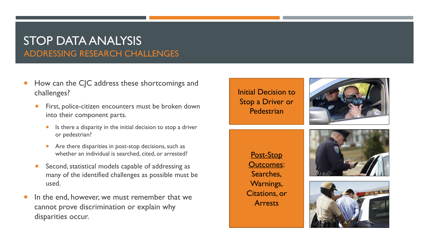## STOP DATA ANALYSIS ADDRESSING RESEARCH CHALLENGES

- How can the CJC address these shortcomings and challenges?
	- First, police-citizen encounters must be broken down into their component parts.
		- Is there a disparity in the initial decision to stop a driver or pedestrian?
		- Are there disparities in post-stop decisions, such as whether an individual is searched, cited, or arrested?
	- Second, statistical models capable of addressing as many of the identified challenges as possible must be used.
- In the end, however, we must remember that we cannot prove discrimination or explain why disparities occur.

Initial Decision to Stop a Driver or Pedestrian



Post-Stop Outcomes: Searches, Warnings, Citations, or Arrests